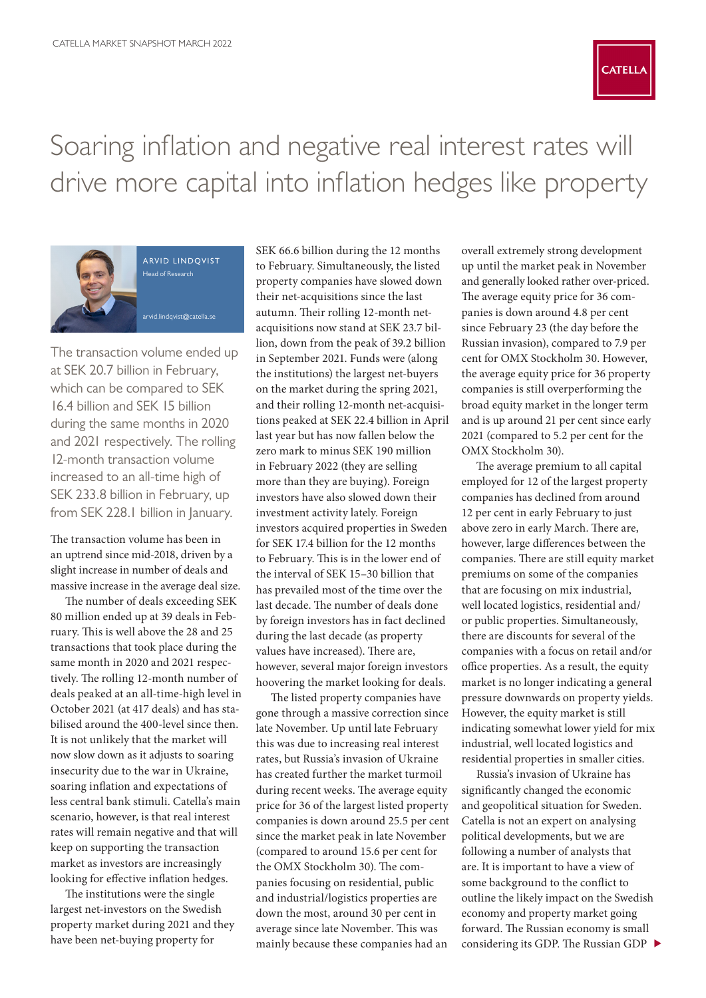

## Soaring inflation and negative real interest rates will drive more capital into inflation hedges like property



arvid lindqvist Head of Research [arvid.lindqvist@catella.se](mailto:arvid.lindqvist%40catella.se?subject=)

The transaction volume ended up at SEK 20.7 billion in February, which can be compared to SEK 16.4 billion and SEK 15 billion during the same months in 2020 and 2021 respectively. The rolling 12-month transaction volume increased to an all-time high of SEK 233.8 billion in February, up from SEK 228.1 billion in January.

The transaction volume has been in an uptrend since mid-2018, driven by a slight increase in number of deals and massive increase in the average deal size.

The number of deals exceeding SEK 80 million ended up at 39 deals in February. This is well above the 28 and 25 transactions that took place during the same month in 2020 and 2021 respectively. The rolling 12-month number of deals peaked at an all-time-high level in October 2021 (at 417 deals) and has stabilised around the 400-level since then. It is not unlikely that the market will now slow down as it adjusts to soaring insecurity due to the war in Ukraine, soaring inflation and expectations of less central bank stimuli. Catella's main scenario, however, is that real interest rates will remain negative and that will keep on supporting the transaction market as investors are increasingly looking for effective inflation hedges.

The institutions were the single largest net-investors on the Swedish property market during 2021 and they have been net-buying property for

SEK 66.6 billion during the 12 months to February. Simultaneously, the listed property companies have slowed down their net-acquisitions since the last autumn. Their rolling 12-month netacquisitions now stand at SEK 23.7 billion, down from the peak of 39.2 billion in September 2021. Funds were (along the institutions) the largest net-buyers on the market during the spring 2021, and their rolling 12-month net-acquisitions peaked at SEK 22.4 billion in April last year but has now fallen below the zero mark to minus SEK 190 million in February 2022 (they are selling more than they are buying). Foreign investors have also slowed down their investment activity lately. Foreign investors acquired properties in Sweden for SEK 17.4 billion for the 12 months to February. This is in the lower end of the interval of SEK 15–30 billion that has prevailed most of the time over the last decade. The number of deals done by foreign investors has in fact declined during the last decade (as property values have increased). There are, however, several major foreign investors hoovering the market looking for deals.

The listed property companies have gone through a massive correction since late November. Up until late February this was due to increasing real interest rates, but Russia's invasion of Ukraine has created further the market turmoil during recent weeks. The average equity price for 36 of the largest listed property companies is down around 25.5 per cent since the market peak in late November (compared to around 15.6 per cent for the OMX Stockholm 30). The companies focusing on residential, public and industrial/logistics properties are down the most, around 30 per cent in average since late November. This was mainly because these companies had an overall extremely strong development up until the market peak in November and generally looked rather over-priced. The average equity price for 36 companies is down around 4.8 per cent since February 23 (the day before the Russian invasion), compared to 7.9 per cent for OMX Stockholm 30. However, the average equity price for 36 property companies is still overperforming the broad equity market in the longer term and is up around 21 per cent since early 2021 (compared to 5.2 per cent for the OMX Stockholm 30).

The average premium to all capital employed for 12 of the largest property companies has declined from around 12 per cent in early February to just above zero in early March. There are, however, large differences between the companies. There are still equity market premiums on some of the companies that are focusing on mix industrial, well located logistics, residential and/ or public properties. Simultaneously, there are discounts for several of the companies with a focus on retail and/or office properties. As a result, the equity market is no longer indicating a general pressure downwards on property yields. However, the equity market is still indicating somewhat lower yield for mix industrial, well located logistics and residential properties in smaller cities.

Russia's invasion of Ukraine has significantly changed the economic and geopolitical situation for Sweden. Catella is not an expert on analysing political developments, but we are following a number of analysts that are. It is important to have a view of some background to the conflict to outline the likely impact on the Swedish economy and property market going forward. The Russian economy is small considering its GDP. The Russian GDP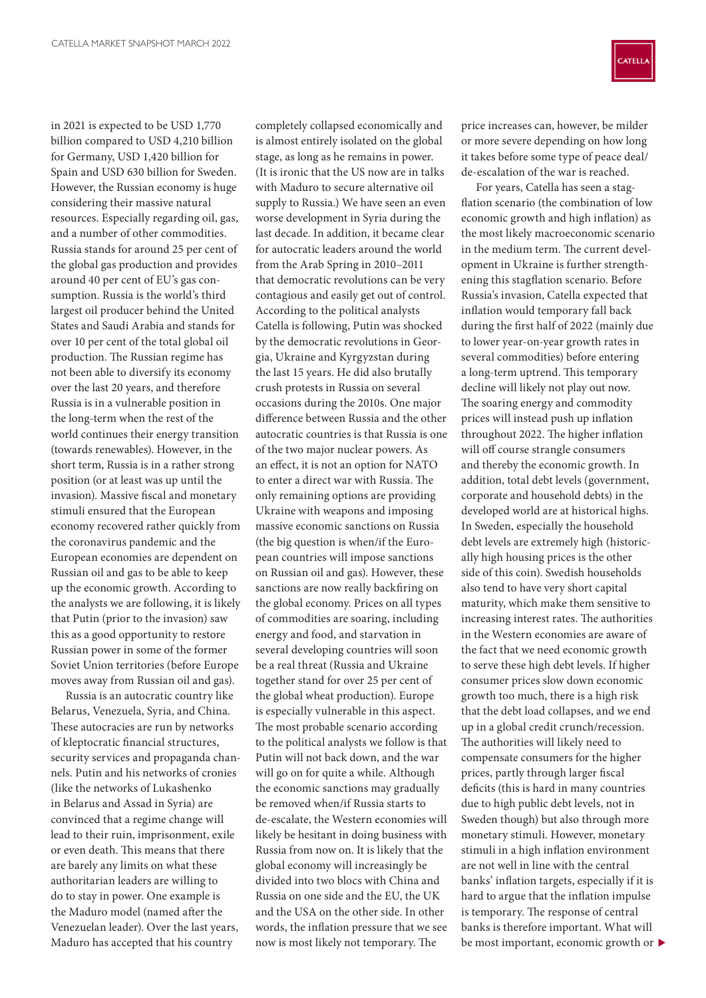in 2021 is expected to be USD 1,770 billion compared to USD 4,210 billion for Germany, USD 1,420 billion for Spain and USD 630 billion for Sweden. However, the Russian economy is huge considering their massive natural resources. Especially regarding oil, gas, and a number of other commodities. Russia stands for around 25 per cent of the global gas production and provides around 40 per cent of EU's gas consumption. Russia is the world's third largest oil producer behind the United States and Saudi Arabia and stands for over 10 per cent of the total global oil production. The Russian regime has not been able to diversify its economy over the last 20 years, and therefore Russia is in a vulnerable position in the long-term when the rest of the world continues their energy transition (towards renewables). However, in the short term, Russia is in a rather strong position (or at least was up until the invasion). Massive fiscal and monetary stimuli ensured that the European economy recovered rather quickly from the coronavirus pandemic and the European economies are dependent on Russian oil and gas to be able to keep up the economic growth. According to the analysts we are following, it is likely that Putin (prior to the invasion) saw this as a good opportunity to restore Russian power in some of the former Soviet Union territories (before Europe moves away from Russian oil and gas).

Russia is an autocratic country like Belarus, Venezuela, Syria, and China. These autocracies are run by networks of kleptocratic financial structures, security services and propaganda channels. Putin and his networks of cronies (like the networks of Lukashenko in Belarus and Assad in Syria) are convinced that a regime change will lead to their ruin, imprisonment, exile or even death. This means that there are barely any limits on what these authoritarian leaders are willing to do to stay in power. One example is the Maduro model (named after the Venezuelan leader). Over the last years, Maduro has accepted that his country

completely collapsed economically and is almost entirely isolated on the global stage, as long as he remains in power. (It is ironic that the US now are in talks with Maduro to secure alternative oil supply to Russia.) We have seen an even worse development in Syria during the last decade. In addition, it became clear for autocratic leaders around the world from the Arab Spring in 2010–2011 that democratic revolutions can be very contagious and easily get out of control. According to the political analysts Catella is following, Putin was shocked by the democratic revolutions in Georgia, Ukraine and Kyrgyzstan during the last 15 years. He did also brutally crush protests in Russia on several occasions during the 2010s. One major difference between Russia and the other autocratic countries is that Russia is one of the two major nuclear powers. As an effect, it is not an option for NATO to enter a direct war with Russia. The only remaining options are providing Ukraine with weapons and imposing massive economic sanctions on Russia (the big question is when/if the European countries will impose sanctions on Russian oil and gas). However, these sanctions are now really backfiring on the global economy. Prices on all types of commodities are soaring, including energy and food, and starvation in several developing countries will soon be a real threat (Russia and Ukraine together stand for over 25 per cent of the global wheat production). Europe is especially vulnerable in this aspect. The most probable scenario according to the political analysts we follow is that Putin will not back down, and the war will go on for quite a while. Although the economic sanctions may gradually be removed when/if Russia starts to de-escalate, the Western economies will likely be hesitant in doing business with Russia from now on. It is likely that the global economy will increasingly be divided into two blocs with China and Russia on one side and the EU, the UK and the USA on the other side. In other words, the inflation pressure that we see now is most likely not temporary. The



price increases can, however, be milder or more severe depending on how long it takes before some type of peace deal/ de-escalation of the war is reached.

For years, Catella has seen a stagflation scenario (the combination of low economic growth and high inflation) as the most likely macroeconomic scenario in the medium term. The current development in Ukraine is further strengthening this stagflation scenario. Before Russia's invasion, Catella expected that inflation would temporary fall back during the first half of 2022 (mainly due to lower year-on-year growth rates in several commodities) before entering a long-term uptrend. This temporary decline will likely not play out now. The soaring energy and commodity prices will instead push up inflation throughout 2022. The higher inflation will off course strangle consumers and thereby the economic growth. In addition, total debt levels (government, corporate and household debts) in the developed world are at historical highs. In Sweden, especially the household debt levels are extremely high (historically high housing prices is the other side of this coin). Swedish households also tend to have very short capital maturity, which make them sensitive to increasing interest rates. The authorities in the Western economies are aware of the fact that we need economic growth to serve these high debt levels. If higher consumer prices slow down economic growth too much, there is a high risk that the debt load collapses, and we end up in a global credit crunch/recession. The authorities will likely need to compensate consumers for the higher prices, partly through larger fiscal deficits (this is hard in many countries due to high public debt levels, not in Sweden though) but also through more monetary stimuli. However, monetary stimuli in a high inflation environment are not well in line with the central banks' inflation targets, especially if it is hard to argue that the inflation impulse is temporary. The response of central banks is therefore important. What will be most important, economic growth or  $\blacktriangleright$